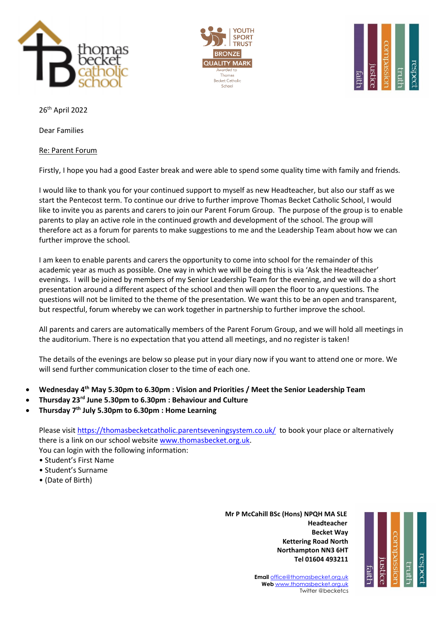





26th April 2022

Dear Families

## Re: Parent Forum

Firstly, I hope you had a good Easter break and were able to spend some quality time with family and friends.

I would like to thank you for your continued support to myself as new Headteacher, but also our staff as we start the Pentecost term. To continue our drive to further improve Thomas Becket Catholic School, I would like to invite you as parents and carers to join our Parent Forum Group. The purpose of the group is to enable parents to play an active role in the continued growth and development of the school. The group will therefore act as a forum for parents to make suggestions to me and the Leadership Team about how we can further improve the school.

I am keen to enable parents and carers the opportunity to come into school for the remainder of this academic year as much as possible. One way in which we will be doing this is via 'Ask the Headteacher' evenings. I will be joined by members of my Senior Leadership Team for the evening, and we will do a short presentation around a different aspect of the school and then will open the floor to any questions. The questions will not be limited to the theme of the presentation. We want this to be an open and transparent, but respectful, forum whereby we can work together in partnership to further improve the school.

All parents and carers are automatically members of the Parent Forum Group, and we will hold all meetings in the auditorium. There is no expectation that you attend all meetings, and no register is taken!

The details of the evenings are below so please put in your diary now if you want to attend one or more. We will send further communication closer to the time of each one.

- **Wednesday 4th May 5.30pm to 6.30pm : Vision and Priorities / Meet the Senior Leadership Team**
- **Thursday 23rd June 5.30pm to 6.30pm : Behaviour and Culture**
- **Thursday 7th July 5.30pm to 6.30pm : Home Learning**

Please visit<https://thomasbecketcatholic.parentseveningsystem.co.uk/>to book your place or alternatively there is a link on our school website [www.thomasbecket.org.uk.](http://www.thomasbecket.org.uk/)

You can login with the following information:

- Student's First Name
- Student's Surname
- (Date of Birth)

 **Mr P McCahill BSc (Hons) NPQH MA SLE** با المستخدم المستخدم المستخدم المستخدم المستخدم المستخدم المستخدم المستخدم المستخدم المستخدم المستخدم المستخدم ا **Becket Way Kettering Road North Northampton NN3 6HT Tel 01604 493211**



**Email** [office@thomasbecket.org.uk](mailto:office@thomasbecket.org.uk) **Web** [www.thomasbecket.org.uk](http://www.thomasbecket.org.uk/) Twitter @becketcs